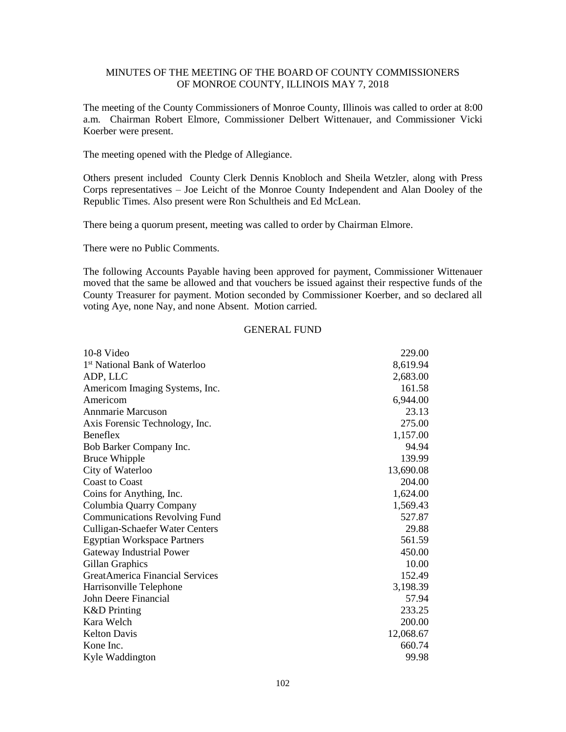The meeting of the County Commissioners of Monroe County, Illinois was called to order at 8:00 a.m. Chairman Robert Elmore, Commissioner Delbert Wittenauer, and Commissioner Vicki Koerber were present.

The meeting opened with the Pledge of Allegiance.

Others present included County Clerk Dennis Knobloch and Sheila Wetzler, along with Press Corps representatives – Joe Leicht of the Monroe County Independent and Alan Dooley of the Republic Times. Also present were Ron Schultheis and Ed McLean.

There being a quorum present, meeting was called to order by Chairman Elmore.

There were no Public Comments.

The following Accounts Payable having been approved for payment, Commissioner Wittenauer moved that the same be allowed and that vouchers be issued against their respective funds of the County Treasurer for payment. Motion seconded by Commissioner Koerber, and so declared all voting Aye, none Nay, and none Absent. Motion carried.

#### GENERAL FUND

| 10-8 Video                                | 229.00    |
|-------------------------------------------|-----------|
| 1 <sup>st</sup> National Bank of Waterloo | 8,619.94  |
| ADP, LLC                                  | 2,683.00  |
| Americom Imaging Systems, Inc.            | 161.58    |
| Americom                                  | 6,944.00  |
| <b>Annmarie Marcuson</b>                  | 23.13     |
| Axis Forensic Technology, Inc.            | 275.00    |
| Beneflex                                  | 1,157.00  |
| Bob Barker Company Inc.                   | 94.94     |
| <b>Bruce Whipple</b>                      | 139.99    |
| City of Waterloo                          | 13,690.08 |
| <b>Coast to Coast</b>                     | 204.00    |
| Coins for Anything, Inc.                  | 1,624.00  |
| Columbia Quarry Company                   | 1,569.43  |
| <b>Communications Revolving Fund</b>      | 527.87    |
| <b>Culligan-Schaefer Water Centers</b>    | 29.88     |
| <b>Egyptian Workspace Partners</b>        | 561.59    |
| Gateway Industrial Power                  | 450.00    |
| Gillan Graphics                           | 10.00     |
| <b>GreatAmerica Financial Services</b>    | 152.49    |
| Harrisonville Telephone                   | 3,198.39  |
| John Deere Financial                      | 57.94     |
| <b>K&amp;D</b> Printing                   | 233.25    |
| Kara Welch                                | 200.00    |
| <b>Kelton Davis</b>                       | 12,068.67 |
| Kone Inc.                                 | 660.74    |
| Kyle Waddington                           | 99.98     |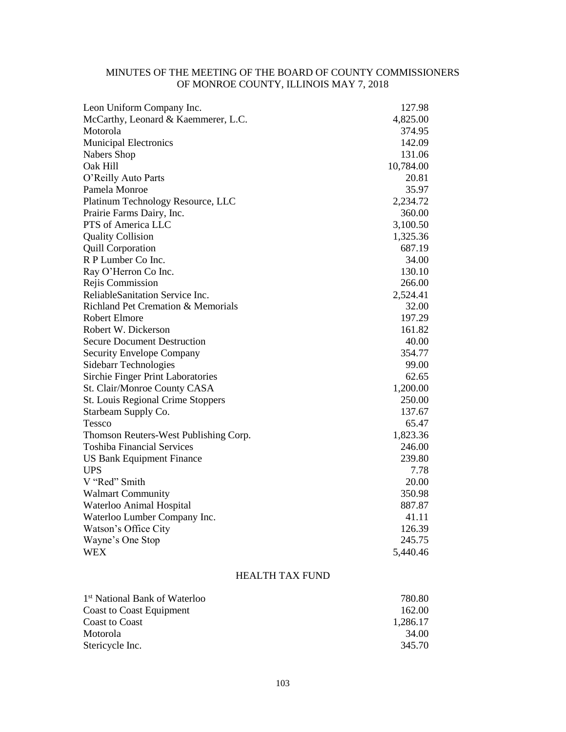| Leon Uniform Company Inc.             | 127.98    |
|---------------------------------------|-----------|
| McCarthy, Leonard & Kaemmerer, L.C.   | 4,825.00  |
| Motorola                              | 374.95    |
| <b>Municipal Electronics</b>          | 142.09    |
| Nabers Shop                           | 131.06    |
| Oak Hill                              | 10,784.00 |
| O'Reilly Auto Parts                   | 20.81     |
| Pamela Monroe                         | 35.97     |
| Platinum Technology Resource, LLC     | 2,234.72  |
| Prairie Farms Dairy, Inc.             | 360.00    |
| PTS of America LLC                    | 3,100.50  |
| <b>Quality Collision</b>              | 1,325.36  |
| <b>Quill Corporation</b>              | 687.19    |
| R P Lumber Co Inc.                    | 34.00     |
| Ray O'Herron Co Inc.                  | 130.10    |
| Rejis Commission                      | 266.00    |
| ReliableSanitation Service Inc.       | 2,524.41  |
| Richland Pet Cremation & Memorials    | 32.00     |
| <b>Robert Elmore</b>                  | 197.29    |
| Robert W. Dickerson                   | 161.82    |
| <b>Secure Document Destruction</b>    | 40.00     |
| <b>Security Envelope Company</b>      | 354.77    |
| Sidebarr Technologies                 | 99.00     |
| Sirchie Finger Print Laboratories     | 62.65     |
| St. Clair/Monroe County CASA          | 1,200.00  |
| St. Louis Regional Crime Stoppers     | 250.00    |
| Starbeam Supply Co.                   | 137.67    |
| Tessco                                | 65.47     |
| Thomson Reuters-West Publishing Corp. | 1,823.36  |
| <b>Toshiba Financial Services</b>     | 246.00    |
| US Bank Equipment Finance             | 239.80    |
| <b>UPS</b>                            | 7.78      |
| V "Red" Smith                         | 20.00     |
| <b>Walmart Community</b>              | 350.98    |
| Waterloo Animal Hospital              | 887.87    |
| Waterloo Lumber Company Inc.          | 41.11     |
| Watson's Office City                  | 126.39    |
| Wayne's One Stop                      | 245.75    |
| <b>WEX</b>                            | 5,440.46  |

# HEALTH TAX FUND

| 1 <sup>st</sup> National Bank of Waterloo | 780.80   |
|-------------------------------------------|----------|
| Coast to Coast Equipment                  | 162.00   |
| <b>Coast to Coast</b>                     | 1.286.17 |
| Motorola                                  | 34.00    |
| Stericycle Inc.                           | 345.70   |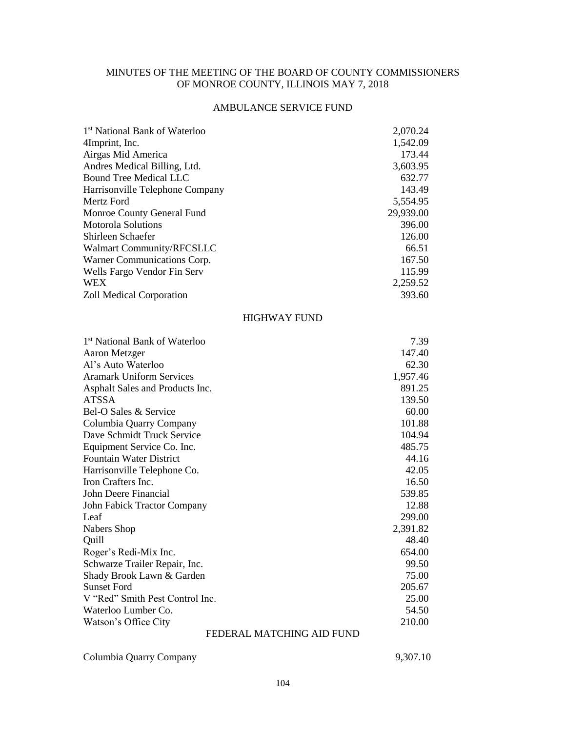# AMBULANCE SERVICE FUND

| 1 <sup>st</sup> National Bank of Waterloo | 2,070.24  |
|-------------------------------------------|-----------|
| 4Imprint, Inc.                            | 1,542.09  |
| Airgas Mid America                        | 173.44    |
| Andres Medical Billing, Ltd.              | 3,603.95  |
| <b>Bound Tree Medical LLC</b>             | 632.77    |
| Harrisonville Telephone Company           | 143.49    |
| Mertz Ford                                | 5,554.95  |
| Monroe County General Fund                | 29,939.00 |
| <b>Motorola Solutions</b>                 | 396.00    |
| Shirleen Schaefer                         | 126.00    |
| Walmart Community/RFCSLLC                 | 66.51     |
| Warner Communications Corp.               | 167.50    |
| Wells Fargo Vendor Fin Serv               | 115.99    |
| <b>WEX</b>                                | 2,259.52  |
| Zoll Medical Corporation                  | 393.60    |
| <b>HIGHWAY FUND</b>                       |           |
| 1 <sup>st</sup> National Bank of Waterloo | 7.39      |
| Aaron Metzger                             | 147.40    |
| Al's Auto Waterloo                        | 62.30     |
| <b>Aramark Uniform Services</b>           | 1,957.46  |
| Asphalt Sales and Products Inc.           | 891.25    |
| <b>ATSSA</b>                              | 139.50    |
| Bel-O Sales & Service                     | 60.00     |
| Columbia Quarry Company                   | 101.88    |
| Dave Schmidt Truck Service                | 104.94    |
| Equipment Service Co. Inc.                | 485.75    |
| Fountain Water District                   | 44.16     |
| Harrisonville Telephone Co.               | 42.05     |
| Iron Crafters Inc.                        | 16.50     |
| John Deere Financial                      | 539.85    |
| John Fabick Tractor Company               | 12.88     |
| Leaf                                      | 299.00    |
| Nabers Shop                               | 2,391.82  |
| Quill                                     | 48.40     |
| Roger's Redi-Mix Inc.                     | 654.00    |
| Schwarze Trailer Repair, Inc.             | 99.50     |
| Shady Brook Lawn & Garden                 | 75.00     |
| <b>Sunset Ford</b>                        | 205.67    |
| V "Red" Smith Pest Control Inc.           | 25.00     |
| Waterloo Lumber Co.                       | 54.50     |
| Watson's Office City                      | 210.00    |
| FEDERAL MATCHING AID FUND                 |           |

Columbia Quarry Company 9,307.10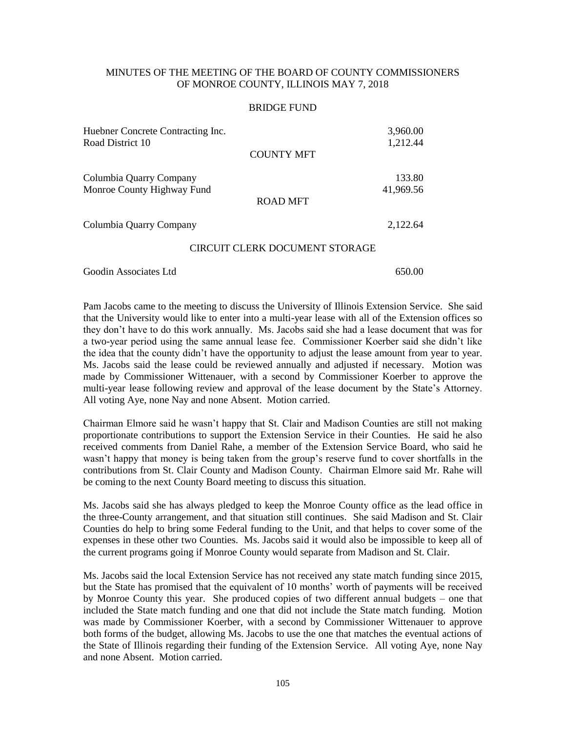#### BRIDGE FUND

| Huebner Concrete Contracting Inc.<br>Road District 10 | 3,960.00<br>1,212.44 |
|-------------------------------------------------------|----------------------|
| <b>COUNTY MFT</b>                                     |                      |
| Columbia Quarry Company                               | 133.80               |
| Monroe County Highway Fund<br>ROAD MFT                | 41,969.56            |
| Columbia Quarry Company                               | 2,122.64             |
| CIRCUIT CLERK DOCUMENT STORAGE                        |                      |
| Goodin Associates Ltd                                 | 650.00               |

Pam Jacobs came to the meeting to discuss the University of Illinois Extension Service. She said that the University would like to enter into a multi-year lease with all of the Extension offices so they don't have to do this work annually. Ms. Jacobs said she had a lease document that was for a two-year period using the same annual lease fee. Commissioner Koerber said she didn't like the idea that the county didn't have the opportunity to adjust the lease amount from year to year. Ms. Jacobs said the lease could be reviewed annually and adjusted if necessary. Motion was made by Commissioner Wittenauer, with a second by Commissioner Koerber to approve the multi-year lease following review and approval of the lease document by the State's Attorney. All voting Aye, none Nay and none Absent. Motion carried.

Chairman Elmore said he wasn't happy that St. Clair and Madison Counties are still not making proportionate contributions to support the Extension Service in their Counties. He said he also received comments from Daniel Rahe, a member of the Extension Service Board, who said he wasn't happy that money is being taken from the group's reserve fund to cover shortfalls in the contributions from St. Clair County and Madison County. Chairman Elmore said Mr. Rahe will be coming to the next County Board meeting to discuss this situation.

Ms. Jacobs said she has always pledged to keep the Monroe County office as the lead office in the three-County arrangement, and that situation still continues. She said Madison and St. Clair Counties do help to bring some Federal funding to the Unit, and that helps to cover some of the expenses in these other two Counties. Ms. Jacobs said it would also be impossible to keep all of the current programs going if Monroe County would separate from Madison and St. Clair.

Ms. Jacobs said the local Extension Service has not received any state match funding since 2015, but the State has promised that the equivalent of 10 months' worth of payments will be received by Monroe County this year. She produced copies of two different annual budgets – one that included the State match funding and one that did not include the State match funding. Motion was made by Commissioner Koerber, with a second by Commissioner Wittenauer to approve both forms of the budget, allowing Ms. Jacobs to use the one that matches the eventual actions of the State of Illinois regarding their funding of the Extension Service. All voting Aye, none Nay and none Absent. Motion carried.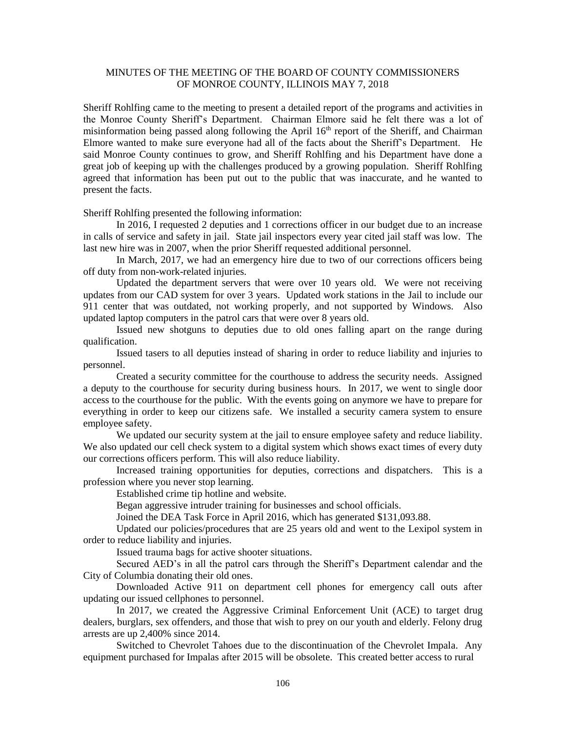Sheriff Rohlfing came to the meeting to present a detailed report of the programs and activities in the Monroe County Sheriff's Department. Chairman Elmore said he felt there was a lot of misinformation being passed along following the April  $16<sup>th</sup>$  report of the Sheriff, and Chairman Elmore wanted to make sure everyone had all of the facts about the Sheriff's Department. He said Monroe County continues to grow, and Sheriff Rohlfing and his Department have done a great job of keeping up with the challenges produced by a growing population. Sheriff Rohlfing agreed that information has been put out to the public that was inaccurate, and he wanted to present the facts.

Sheriff Rohlfing presented the following information:

In 2016, I requested 2 deputies and 1 corrections officer in our budget due to an increase in calls of service and safety in jail. State jail inspectors every year cited jail staff was low. The last new hire was in 2007, when the prior Sheriff requested additional personnel.

In March, 2017, we had an emergency hire due to two of our corrections officers being off duty from non-work-related injuries.

Updated the department servers that were over 10 years old. We were not receiving updates from our CAD system for over 3 years. Updated work stations in the Jail to include our 911 center that was outdated, not working properly, and not supported by Windows. Also updated laptop computers in the patrol cars that were over 8 years old.

Issued new shotguns to deputies due to old ones falling apart on the range during qualification.

Issued tasers to all deputies instead of sharing in order to reduce liability and injuries to personnel.

Created a security committee for the courthouse to address the security needs. Assigned a deputy to the courthouse for security during business hours. In 2017, we went to single door access to the courthouse for the public. With the events going on anymore we have to prepare for everything in order to keep our citizens safe. We installed a security camera system to ensure employee safety.

We updated our security system at the jail to ensure employee safety and reduce liability. We also updated our cell check system to a digital system which shows exact times of every duty our corrections officers perform. This will also reduce liability.

Increased training opportunities for deputies, corrections and dispatchers. This is a profession where you never stop learning.

Established crime tip hotline and website.

Began aggressive intruder training for businesses and school officials.

Joined the DEA Task Force in April 2016, which has generated \$131,093.88.

Updated our policies/procedures that are 25 years old and went to the Lexipol system in order to reduce liability and injuries.

Issued trauma bags for active shooter situations.

Secured AED's in all the patrol cars through the Sheriff's Department calendar and the City of Columbia donating their old ones.

Downloaded Active 911 on department cell phones for emergency call outs after updating our issued cellphones to personnel.

In 2017, we created the Aggressive Criminal Enforcement Unit (ACE) to target drug dealers, burglars, sex offenders, and those that wish to prey on our youth and elderly. Felony drug arrests are up 2,400% since 2014.

Switched to Chevrolet Tahoes due to the discontinuation of the Chevrolet Impala. Any equipment purchased for Impalas after 2015 will be obsolete. This created better access to rural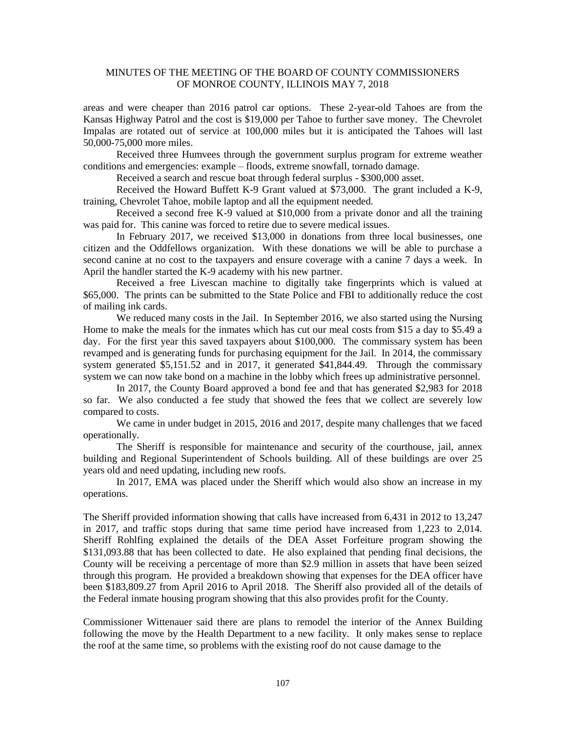areas and were cheaper than 2016 patrol car options. These 2-year-old Tahoes are from the Kansas Highway Patrol and the cost is \$19,000 per Tahoe to further save money. The Chevrolet Impalas are rotated out of service at 100,000 miles but it is anticipated the Tahoes will last 50,000-75,000 more miles.

Received three Humvees through the government surplus program for extreme weather conditions and emergencies: example – floods, extreme snowfall, tornado damage.

Received a search and rescue boat through federal surplus - \$300,000 asset.

Received the Howard Buffett K-9 Grant valued at \$73,000. The grant included a K-9, training, Chevrolet Tahoe, mobile laptop and all the equipment needed.

Received a second free K-9 valued at \$10,000 from a private donor and all the training was paid for. This canine was forced to retire due to severe medical issues.

In February 2017, we received \$13,000 in donations from three local businesses, one citizen and the Oddfellows organization. With these donations we will be able to purchase a second canine at no cost to the taxpayers and ensure coverage with a canine 7 days a week. In April the handler started the K-9 academy with his new partner.

Received a free Livescan machine to digitally take fingerprints which is valued at \$65,000. The prints can be submitted to the State Police and FBI to additionally reduce the cost of mailing ink cards.

We reduced many costs in the Jail. In September 2016, we also started using the Nursing Home to make the meals for the inmates which has cut our meal costs from \$15 a day to \$5.49 a day. For the first year this saved taxpayers about \$100,000. The commissary system has been revamped and is generating funds for purchasing equipment for the Jail. In 2014, the commissary system generated \$5,151.52 and in 2017, it generated \$41,844.49. Through the commissary system we can now take bond on a machine in the lobby which frees up administrative personnel.

In 2017, the County Board approved a bond fee and that has generated \$2,983 for 2018 so far. We also conducted a fee study that showed the fees that we collect are severely low compared to costs.

We came in under budget in 2015, 2016 and 2017, despite many challenges that we faced operationally.

The Sheriff is responsible for maintenance and security of the courthouse, jail, annex building and Regional Superintendent of Schools building. All of these buildings are over 25 years old and need updating, including new roofs.

In 2017, EMA was placed under the Sheriff which would also show an increase in my operations.

The Sheriff provided information showing that calls have increased from 6,431 in 2012 to 13,247 in 2017, and traffic stops during that same time period have increased from 1,223 to 2,014. Sheriff Rohlfing explained the details of the DEA Asset Forfeiture program showing the \$131,093.88 that has been collected to date. He also explained that pending final decisions, the County will be receiving a percentage of more than \$2.9 million in assets that have been seized through this program. He provided a breakdown showing that expenses for the DEA officer have been \$183,809.27 from April 2016 to April 2018. The Sheriff also provided all of the details of the Federal inmate housing program showing that this also provides profit for the County.

Commissioner Wittenauer said there are plans to remodel the interior of the Annex Building following the move by the Health Department to a new facility. It only makes sense to replace the roof at the same time, so problems with the existing roof do not cause damage to the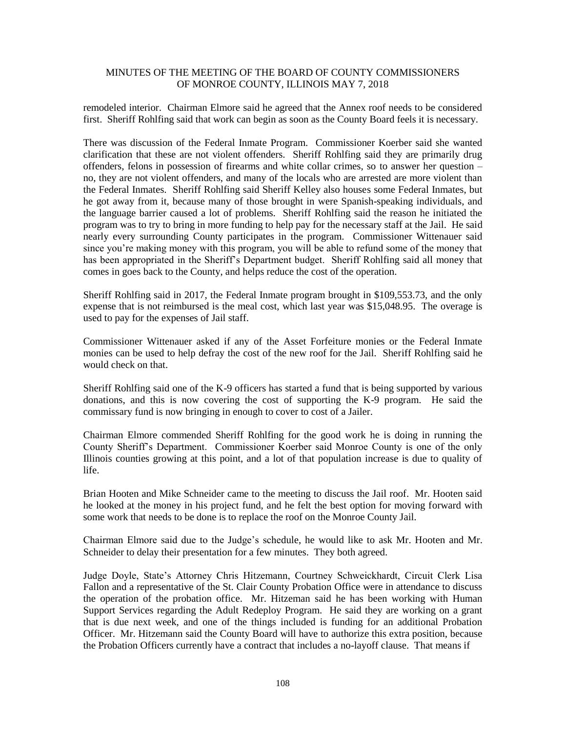remodeled interior. Chairman Elmore said he agreed that the Annex roof needs to be considered first. Sheriff Rohlfing said that work can begin as soon as the County Board feels it is necessary.

There was discussion of the Federal Inmate Program. Commissioner Koerber said she wanted clarification that these are not violent offenders. Sheriff Rohlfing said they are primarily drug offenders, felons in possession of firearms and white collar crimes, so to answer her question – no, they are not violent offenders, and many of the locals who are arrested are more violent than the Federal Inmates. Sheriff Rohlfing said Sheriff Kelley also houses some Federal Inmates, but he got away from it, because many of those brought in were Spanish-speaking individuals, and the language barrier caused a lot of problems. Sheriff Rohlfing said the reason he initiated the program was to try to bring in more funding to help pay for the necessary staff at the Jail. He said nearly every surrounding County participates in the program. Commissioner Wittenauer said since you're making money with this program, you will be able to refund some of the money that has been appropriated in the Sheriff's Department budget. Sheriff Rohlfing said all money that comes in goes back to the County, and helps reduce the cost of the operation.

Sheriff Rohlfing said in 2017, the Federal Inmate program brought in \$109,553.73, and the only expense that is not reimbursed is the meal cost, which last year was \$15,048.95. The overage is used to pay for the expenses of Jail staff.

Commissioner Wittenauer asked if any of the Asset Forfeiture monies or the Federal Inmate monies can be used to help defray the cost of the new roof for the Jail. Sheriff Rohlfing said he would check on that.

Sheriff Rohlfing said one of the K-9 officers has started a fund that is being supported by various donations, and this is now covering the cost of supporting the K-9 program. He said the commissary fund is now bringing in enough to cover to cost of a Jailer.

Chairman Elmore commended Sheriff Rohlfing for the good work he is doing in running the County Sheriff's Department. Commissioner Koerber said Monroe County is one of the only Illinois counties growing at this point, and a lot of that population increase is due to quality of life.

Brian Hooten and Mike Schneider came to the meeting to discuss the Jail roof. Mr. Hooten said he looked at the money in his project fund, and he felt the best option for moving forward with some work that needs to be done is to replace the roof on the Monroe County Jail.

Chairman Elmore said due to the Judge's schedule, he would like to ask Mr. Hooten and Mr. Schneider to delay their presentation for a few minutes. They both agreed.

Judge Doyle, State's Attorney Chris Hitzemann, Courtney Schweickhardt, Circuit Clerk Lisa Fallon and a representative of the St. Clair County Probation Office were in attendance to discuss the operation of the probation office. Mr. Hitzeman said he has been working with Human Support Services regarding the Adult Redeploy Program. He said they are working on a grant that is due next week, and one of the things included is funding for an additional Probation Officer. Mr. Hitzemann said the County Board will have to authorize this extra position, because the Probation Officers currently have a contract that includes a no-layoff clause. That means if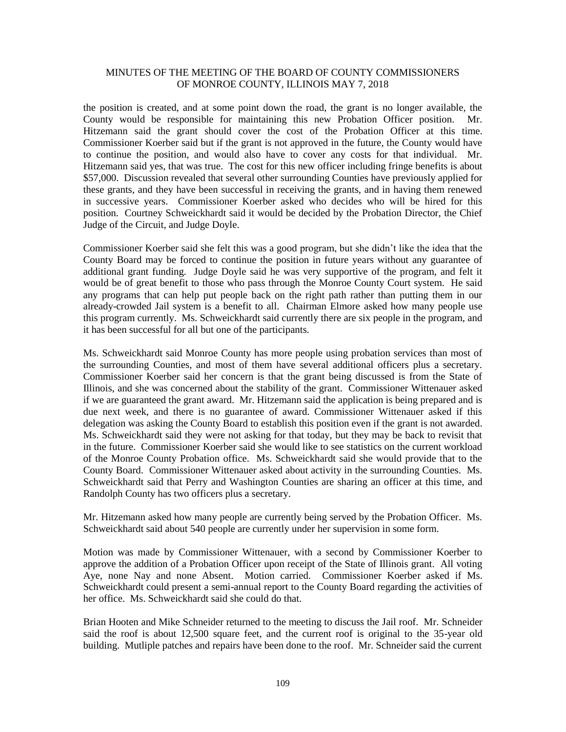the position is created, and at some point down the road, the grant is no longer available, the County would be responsible for maintaining this new Probation Officer position. Mr. Hitzemann said the grant should cover the cost of the Probation Officer at this time. Commissioner Koerber said but if the grant is not approved in the future, the County would have to continue the position, and would also have to cover any costs for that individual. Mr. Hitzemann said yes, that was true. The cost for this new officer including fringe benefits is about \$57,000. Discussion revealed that several other surrounding Counties have previously applied for these grants, and they have been successful in receiving the grants, and in having them renewed in successive years. Commissioner Koerber asked who decides who will be hired for this position. Courtney Schweickhardt said it would be decided by the Probation Director, the Chief Judge of the Circuit, and Judge Doyle.

Commissioner Koerber said she felt this was a good program, but she didn't like the idea that the County Board may be forced to continue the position in future years without any guarantee of additional grant funding. Judge Doyle said he was very supportive of the program, and felt it would be of great benefit to those who pass through the Monroe County Court system. He said any programs that can help put people back on the right path rather than putting them in our already-crowded Jail system is a benefit to all. Chairman Elmore asked how many people use this program currently. Ms. Schweickhardt said currently there are six people in the program, and it has been successful for all but one of the participants.

Ms. Schweickhardt said Monroe County has more people using probation services than most of the surrounding Counties, and most of them have several additional officers plus a secretary. Commissioner Koerber said her concern is that the grant being discussed is from the State of Illinois, and she was concerned about the stability of the grant. Commissioner Wittenauer asked if we are guaranteed the grant award. Mr. Hitzemann said the application is being prepared and is due next week, and there is no guarantee of award. Commissioner Wittenauer asked if this delegation was asking the County Board to establish this position even if the grant is not awarded. Ms. Schweickhardt said they were not asking for that today, but they may be back to revisit that in the future. Commissioner Koerber said she would like to see statistics on the current workload of the Monroe County Probation office. Ms. Schweickhardt said she would provide that to the County Board. Commissioner Wittenauer asked about activity in the surrounding Counties. Ms. Schweickhardt said that Perry and Washington Counties are sharing an officer at this time, and Randolph County has two officers plus a secretary.

Mr. Hitzemann asked how many people are currently being served by the Probation Officer. Ms. Schweickhardt said about 540 people are currently under her supervision in some form.

Motion was made by Commissioner Wittenauer, with a second by Commissioner Koerber to approve the addition of a Probation Officer upon receipt of the State of Illinois grant. All voting Aye, none Nay and none Absent. Motion carried. Commissioner Koerber asked if Ms. Schweickhardt could present a semi-annual report to the County Board regarding the activities of her office. Ms. Schweickhardt said she could do that.

Brian Hooten and Mike Schneider returned to the meeting to discuss the Jail roof. Mr. Schneider said the roof is about 12,500 square feet, and the current roof is original to the 35-year old building. Mutliple patches and repairs have been done to the roof. Mr. Schneider said the current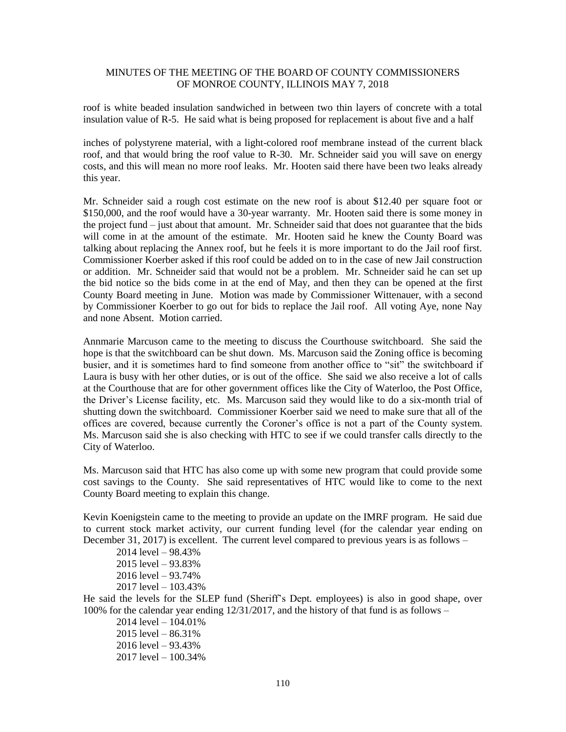roof is white beaded insulation sandwiched in between two thin layers of concrete with a total insulation value of R-5. He said what is being proposed for replacement is about five and a half

inches of polystyrene material, with a light-colored roof membrane instead of the current black roof, and that would bring the roof value to R-30. Mr. Schneider said you will save on energy costs, and this will mean no more roof leaks. Mr. Hooten said there have been two leaks already this year.

Mr. Schneider said a rough cost estimate on the new roof is about \$12.40 per square foot or \$150,000, and the roof would have a 30-year warranty. Mr. Hooten said there is some money in the project fund – just about that amount. Mr. Schneider said that does not guarantee that the bids will come in at the amount of the estimate. Mr. Hooten said he knew the County Board was talking about replacing the Annex roof, but he feels it is more important to do the Jail roof first. Commissioner Koerber asked if this roof could be added on to in the case of new Jail construction or addition. Mr. Schneider said that would not be a problem. Mr. Schneider said he can set up the bid notice so the bids come in at the end of May, and then they can be opened at the first County Board meeting in June. Motion was made by Commissioner Wittenauer, with a second by Commissioner Koerber to go out for bids to replace the Jail roof. All voting Aye, none Nay and none Absent. Motion carried.

Annmarie Marcuson came to the meeting to discuss the Courthouse switchboard. She said the hope is that the switchboard can be shut down. Ms. Marcuson said the Zoning office is becoming busier, and it is sometimes hard to find someone from another office to "sit" the switchboard if Laura is busy with her other duties, or is out of the office. She said we also receive a lot of calls at the Courthouse that are for other government offices like the City of Waterloo, the Post Office, the Driver's License facility, etc. Ms. Marcuson said they would like to do a six-month trial of shutting down the switchboard. Commissioner Koerber said we need to make sure that all of the offices are covered, because currently the Coroner's office is not a part of the County system. Ms. Marcuson said she is also checking with HTC to see if we could transfer calls directly to the City of Waterloo.

Ms. Marcuson said that HTC has also come up with some new program that could provide some cost savings to the County. She said representatives of HTC would like to come to the next County Board meeting to explain this change.

Kevin Koenigstein came to the meeting to provide an update on the IMRF program. He said due to current stock market activity, our current funding level (for the calendar year ending on December 31, 2017) is excellent. The current level compared to previous years is as follows –

2014 level – 98.43% 2015 level – 93.83% 2016 level – 93.74% 2017 level – 103.43%

He said the levels for the SLEP fund (Sheriff's Dept. employees) is also in good shape, over 100% for the calendar year ending 12/31/2017, and the history of that fund is as follows –

2014 level – 104.01%  $2015$  level – 86.31% 2016 level – 93.43% 2017 level – 100.34%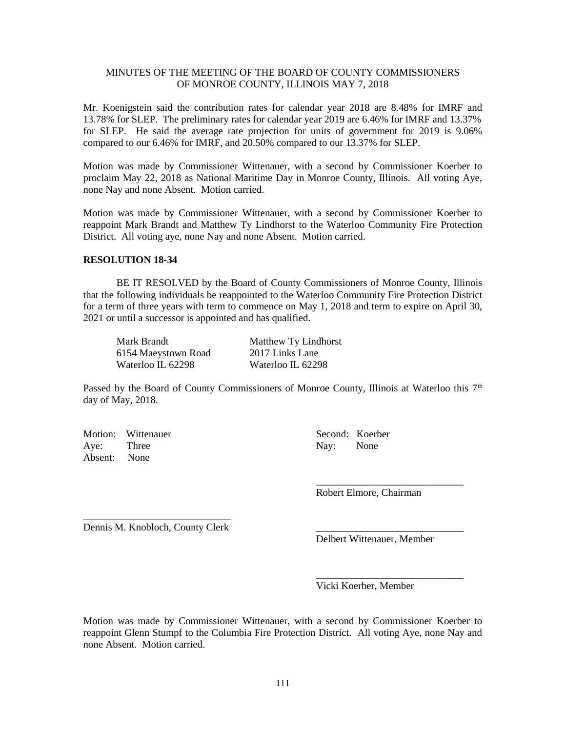Mr. Koenigstein said the contribution rates for calendar year 2018 are 8.48% for IMRF and 13.78% for SLEP. The preliminary rates for calendar year 2019 are 6.46% for IMRF and 13.37% for SLEP. He said the average rate projection for units of government for 2019 is 9.06% compared to our 6.46% for IMRF, and 20.50% compared to our 13.37% for SLEP.

Motion was made by Commissioner Wittenauer, with a second by Commissioner Koerber to proclaim May 22, 2018 as National Maritime Day in Monroe County, Illinois. All voting Aye, none Nay and none Absent. Motion carried.

Motion was made by Commissioner Wittenauer, with a second by Commissioner Koerber to reappoint Mark Brandt and Matthew Ty Lindhorst to the Waterloo Community Fire Protection District. All voting aye, none Nay and none Absent. Motion carried.

## **RESOLUTION 18-34**

BE IT RESOLVED by the Board of County Commissioners of Monroe County, Illinois that the following individuals be reappointed to the Waterloo Community Fire Protection District for a term of three years with term to commence on May 1, 2018 and term to expire on April 30, 2021 or until a successor is appointed and has qualified.

| Mark Brandt         | Matthew Ty Lindhorst |
|---------------------|----------------------|
| 6154 Maeystown Road | 2017 Links Lane      |
| Waterloo IL 62298   | Waterloo IL 62298    |

Passed by the Board of County Commissioners of Monroe County, Illinois at Waterloo this  $7<sup>th</sup>$ day of May, 2018.

Motion: Wittenauer Second: Koerber Aye: Three Nay: None Absent: None

\_\_\_\_\_\_\_\_\_\_\_\_\_\_\_\_\_\_\_\_\_\_\_\_\_\_\_\_\_ Robert Elmore, Chairman

\_\_\_\_\_\_\_\_\_\_\_\_\_\_\_\_\_\_\_\_\_\_\_\_\_\_\_\_\_ Dennis M. Knobloch, County Clerk

Delbert Wittenauer, Member

\_\_\_\_\_\_\_\_\_\_\_\_\_\_\_\_\_\_\_\_\_\_\_\_\_\_\_\_\_

Vicki Koerber, Member

Motion was made by Commissioner Wittenauer, with a second by Commissioner Koerber to reappoint Glenn Stumpf to the Columbia Fire Protection District. All voting Aye, none Nay and none Absent. Motion carried.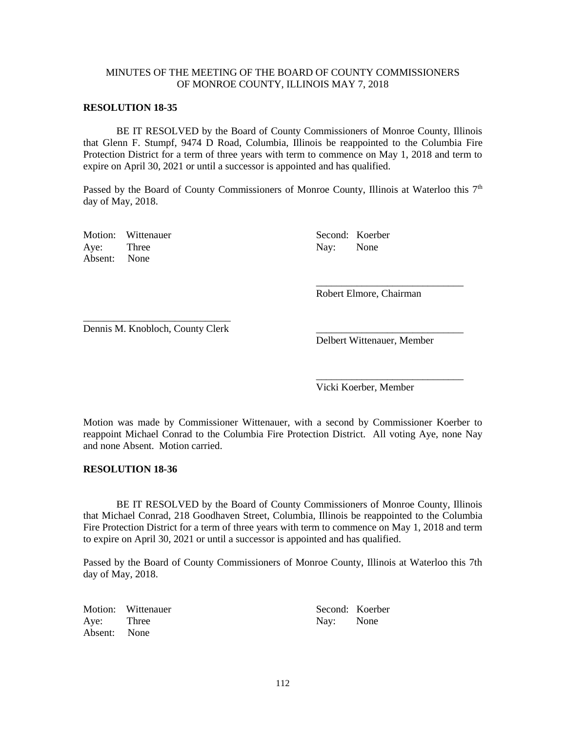#### **RESOLUTION 18-35**

BE IT RESOLVED by the Board of County Commissioners of Monroe County, Illinois that Glenn F. Stumpf, 9474 D Road, Columbia, Illinois be reappointed to the Columbia Fire Protection District for a term of three years with term to commence on May 1, 2018 and term to expire on April 30, 2021 or until a successor is appointed and has qualified.

Passed by the Board of County Commissioners of Monroe County, Illinois at Waterloo this  $7<sup>th</sup>$ day of May, 2018.

Motion: Wittenauer Second: Koerber Aye: Three Nay: None Absent: None

Robert Elmore, Chairman

\_\_\_\_\_\_\_\_\_\_\_\_\_\_\_\_\_\_\_\_\_\_\_\_\_\_\_\_\_

\_\_\_\_\_\_\_\_\_\_\_\_\_\_\_\_\_\_\_\_\_\_\_\_\_\_\_\_\_

\_\_\_\_\_\_\_\_\_\_\_\_\_\_\_\_\_\_\_\_\_\_\_\_\_\_\_\_\_ Dennis M. Knobloch, County Clerk

Delbert Wittenauer, Member

Vicki Koerber, Member

Motion was made by Commissioner Wittenauer, with a second by Commissioner Koerber to reappoint Michael Conrad to the Columbia Fire Protection District. All voting Aye, none Nay and none Absent. Motion carried.

#### **RESOLUTION 18-36**

BE IT RESOLVED by the Board of County Commissioners of Monroe County, Illinois that Michael Conrad, 218 Goodhaven Street, Columbia, Illinois be reappointed to the Columbia Fire Protection District for a term of three years with term to commence on May 1, 2018 and term to expire on April 30, 2021 or until a successor is appointed and has qualified.

Passed by the Board of County Commissioners of Monroe County, Illinois at Waterloo this 7th day of May, 2018.

Motion: Wittenauer Second: Koerber Aye: Three Nay: None Absent: None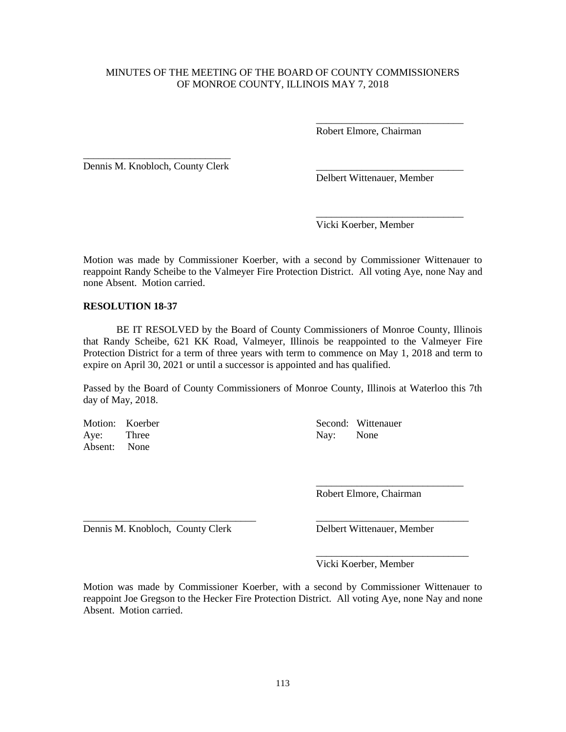Robert Elmore, Chairman

\_\_\_\_\_\_\_\_\_\_\_\_\_\_\_\_\_\_\_\_\_\_\_\_\_\_\_\_\_

\_\_\_\_\_\_\_\_\_\_\_\_\_\_\_\_\_\_\_\_\_\_\_\_\_\_\_\_\_

\_\_\_\_\_\_\_\_\_\_\_\_\_\_\_\_\_\_\_\_\_\_\_\_\_\_\_\_\_ Dennis M. Knobloch, County Clerk

Delbert Wittenauer, Member

Vicki Koerber, Member

Motion was made by Commissioner Koerber, with a second by Commissioner Wittenauer to reappoint Randy Scheibe to the Valmeyer Fire Protection District. All voting Aye, none Nay and none Absent. Motion carried.

#### **RESOLUTION 18-37**

BE IT RESOLVED by the Board of County Commissioners of Monroe County, Illinois that Randy Scheibe, 621 KK Road, Valmeyer, Illinois be reappointed to the Valmeyer Fire Protection District for a term of three years with term to commence on May 1, 2018 and term to expire on April 30, 2021 or until a successor is appointed and has qualified.

Passed by the Board of County Commissioners of Monroe County, Illinois at Waterloo this 7th day of May, 2018.

Aye: Three Nay: None Absent: None

Motion: Koerber Second: Wittenauer

Robert Elmore, Chairman

\_\_\_\_\_\_\_\_\_\_\_\_\_\_\_\_\_\_\_\_\_\_\_\_\_\_\_\_\_

\_\_\_\_\_\_\_\_\_\_\_\_\_\_\_\_\_\_\_\_\_\_\_\_\_\_\_\_\_\_

Dennis M. Knobloch, County Clerk Delbert Wittenauer, Member

Vicki Koerber, Member

Motion was made by Commissioner Koerber, with a second by Commissioner Wittenauer to reappoint Joe Gregson to the Hecker Fire Protection District. All voting Aye, none Nay and none Absent. Motion carried.

\_\_\_\_\_\_\_\_\_\_\_\_\_\_\_\_\_\_\_\_\_\_\_\_\_\_\_\_\_\_\_\_\_\_ \_\_\_\_\_\_\_\_\_\_\_\_\_\_\_\_\_\_\_\_\_\_\_\_\_\_\_\_\_\_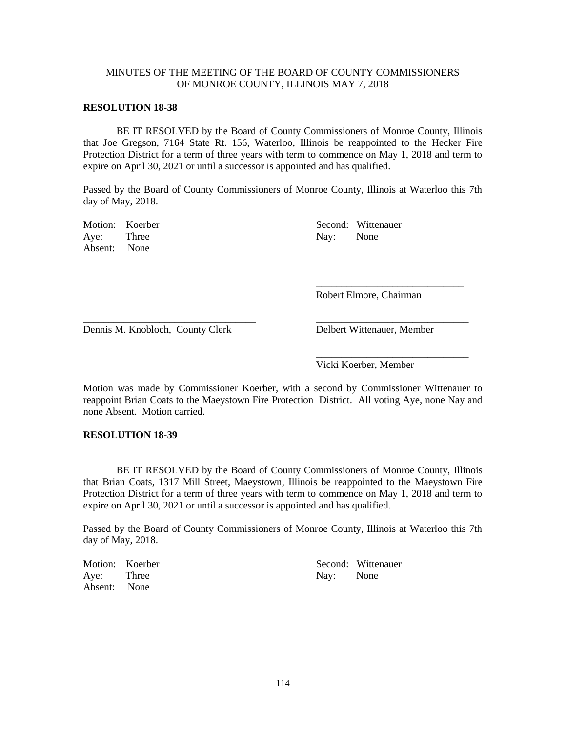#### **RESOLUTION 18-38**

BE IT RESOLVED by the Board of County Commissioners of Monroe County, Illinois that Joe Gregson, 7164 State Rt. 156, Waterloo, Illinois be reappointed to the Hecker Fire Protection District for a term of three years with term to commence on May 1, 2018 and term to expire on April 30, 2021 or until a successor is appointed and has qualified.

Passed by the Board of County Commissioners of Monroe County, Illinois at Waterloo this 7th day of May, 2018.

Aye: Three Nay: None Absent: None

Motion: Koerber Second: Wittenauer

Robert Elmore, Chairman

\_\_\_\_\_\_\_\_\_\_\_\_\_\_\_\_\_\_\_\_\_\_\_\_\_\_\_\_\_

Dennis M. Knobloch, County Clerk Delbert Wittenauer, Member

\_\_\_\_\_\_\_\_\_\_\_\_\_\_\_\_\_\_\_\_\_\_\_\_\_\_\_\_\_\_ Vicki Koerber, Member

Motion was made by Commissioner Koerber, with a second by Commissioner Wittenauer to reappoint Brian Coats to the Maeystown Fire Protection District. All voting Aye, none Nay and none Absent. Motion carried.

\_\_\_\_\_\_\_\_\_\_\_\_\_\_\_\_\_\_\_\_\_\_\_\_\_\_\_\_\_\_\_\_\_\_ \_\_\_\_\_\_\_\_\_\_\_\_\_\_\_\_\_\_\_\_\_\_\_\_\_\_\_\_\_\_

#### **RESOLUTION 18-39**

BE IT RESOLVED by the Board of County Commissioners of Monroe County, Illinois that Brian Coats, 1317 Mill Street, Maeystown, Illinois be reappointed to the Maeystown Fire Protection District for a term of three years with term to commence on May 1, 2018 and term to expire on April 30, 2021 or until a successor is appointed and has qualified.

Passed by the Board of County Commissioners of Monroe County, Illinois at Waterloo this 7th day of May, 2018.

|              | Motion: Koerber |           | Second: Wittenauer |
|--------------|-----------------|-----------|--------------------|
| Aye: Three   |                 | Nav: None |                    |
| Absent: None |                 |           |                    |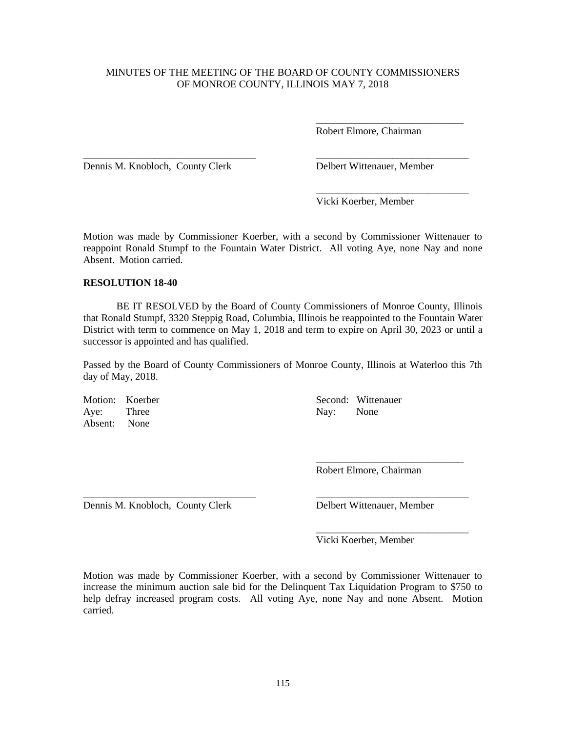\_\_\_\_\_\_\_\_\_\_\_\_\_\_\_\_\_\_\_\_\_\_\_\_\_\_\_\_\_\_\_\_\_\_ \_\_\_\_\_\_\_\_\_\_\_\_\_\_\_\_\_\_\_\_\_\_\_\_\_\_\_\_\_\_

Robert Elmore, Chairman

\_\_\_\_\_\_\_\_\_\_\_\_\_\_\_\_\_\_\_\_\_\_\_\_\_\_\_\_\_

\_\_\_\_\_\_\_\_\_\_\_\_\_\_\_\_\_\_\_\_\_\_\_\_\_\_\_\_\_\_

Dennis M. Knobloch, County Clerk Delbert Wittenauer, Member

Vicki Koerber, Member

Motion was made by Commissioner Koerber, with a second by Commissioner Wittenauer to reappoint Ronald Stumpf to the Fountain Water District. All voting Aye, none Nay and none Absent. Motion carried.

#### **RESOLUTION 18-40**

BE IT RESOLVED by the Board of County Commissioners of Monroe County, Illinois that Ronald Stumpf, 3320 Steppig Road, Columbia, Illinois be reappointed to the Fountain Water District with term to commence on May 1, 2018 and term to expire on April 30, 2023 or until a successor is appointed and has qualified.

Passed by the Board of County Commissioners of Monroe County, Illinois at Waterloo this 7th day of May, 2018.

Aye: Three Nay: None Absent: None

Motion: Koerber Second: Wittenauer

Robert Elmore, Chairman

\_\_\_\_\_\_\_\_\_\_\_\_\_\_\_\_\_\_\_\_\_\_\_\_\_\_\_\_\_

\_\_\_\_\_\_\_\_\_\_\_\_\_\_\_\_\_\_\_\_\_\_\_\_\_\_\_\_\_\_

Dennis M. Knobloch, County Clerk Delbert Wittenauer, Member

Vicki Koerber, Member

Motion was made by Commissioner Koerber, with a second by Commissioner Wittenauer to increase the minimum auction sale bid for the Delinquent Tax Liquidation Program to \$750 to help defray increased program costs. All voting Aye, none Nay and none Absent. Motion carried.

\_\_\_\_\_\_\_\_\_\_\_\_\_\_\_\_\_\_\_\_\_\_\_\_\_\_\_\_\_\_\_\_\_\_ \_\_\_\_\_\_\_\_\_\_\_\_\_\_\_\_\_\_\_\_\_\_\_\_\_\_\_\_\_\_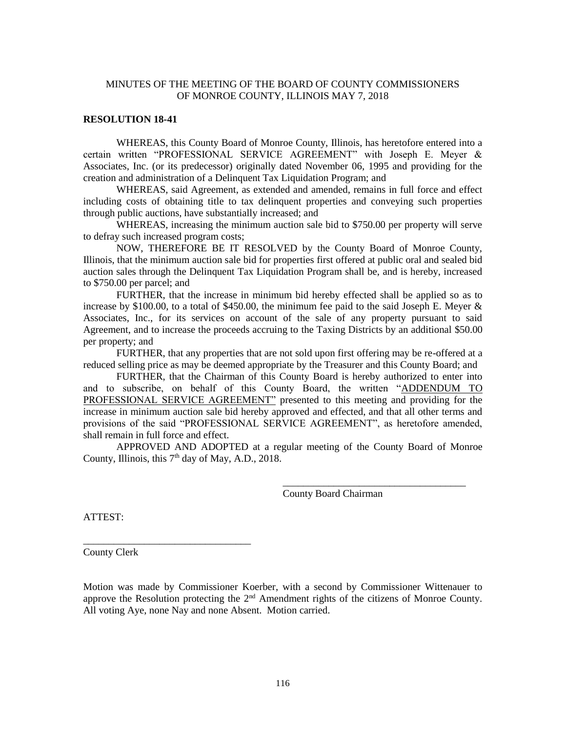#### **RESOLUTION 18-41**

WHEREAS, this County Board of Monroe County, Illinois, has heretofore entered into a certain written "PROFESSIONAL SERVICE AGREEMENT" with Joseph E. Meyer & Associates, Inc. (or its predecessor) originally dated November 06, 1995 and providing for the creation and administration of a Delinquent Tax Liquidation Program; and

WHEREAS, said Agreement, as extended and amended, remains in full force and effect including costs of obtaining title to tax delinquent properties and conveying such properties through public auctions, have substantially increased; and

WHEREAS, increasing the minimum auction sale bid to \$750.00 per property will serve to defray such increased program costs;

NOW, THEREFORE BE IT RESOLVED by the County Board of Monroe County, Illinois, that the minimum auction sale bid for properties first offered at public oral and sealed bid auction sales through the Delinquent Tax Liquidation Program shall be, and is hereby, increased to \$750.00 per parcel; and

FURTHER, that the increase in minimum bid hereby effected shall be applied so as to increase by \$100.00, to a total of \$450.00, the minimum fee paid to the said Joseph E. Meyer  $\&$ Associates, Inc., for its services on account of the sale of any property pursuant to said Agreement, and to increase the proceeds accruing to the Taxing Districts by an additional \$50.00 per property; and

FURTHER, that any properties that are not sold upon first offering may be re-offered at a reduced selling price as may be deemed appropriate by the Treasurer and this County Board; and

FURTHER, that the Chairman of this County Board is hereby authorized to enter into and to subscribe, on behalf of this County Board, the written "ADDENDUM TO PROFESSIONAL SERVICE AGREEMENT" presented to this meeting and providing for the increase in minimum auction sale bid hereby approved and effected, and that all other terms and provisions of the said "PROFESSIONAL SERVICE AGREEMENT", as heretofore amended, shall remain in full force and effect.

APPROVED AND ADOPTED at a regular meeting of the County Board of Monroe County, Illinois, this  $7<sup>th</sup>$  day of May, A.D., 2018.

County Board Chairman

\_\_\_\_\_\_\_\_\_\_\_\_\_\_\_\_\_\_\_\_\_\_\_\_\_\_\_\_\_\_\_\_\_\_\_\_

ATTEST:

County Clerk

\_\_\_\_\_\_\_\_\_\_\_\_\_\_\_\_\_\_\_\_\_\_\_\_\_\_\_\_\_\_\_\_\_

Motion was made by Commissioner Koerber, with a second by Commissioner Wittenauer to approve the Resolution protecting the  $2<sup>nd</sup>$  Amendment rights of the citizens of Monroe County. All voting Aye, none Nay and none Absent. Motion carried.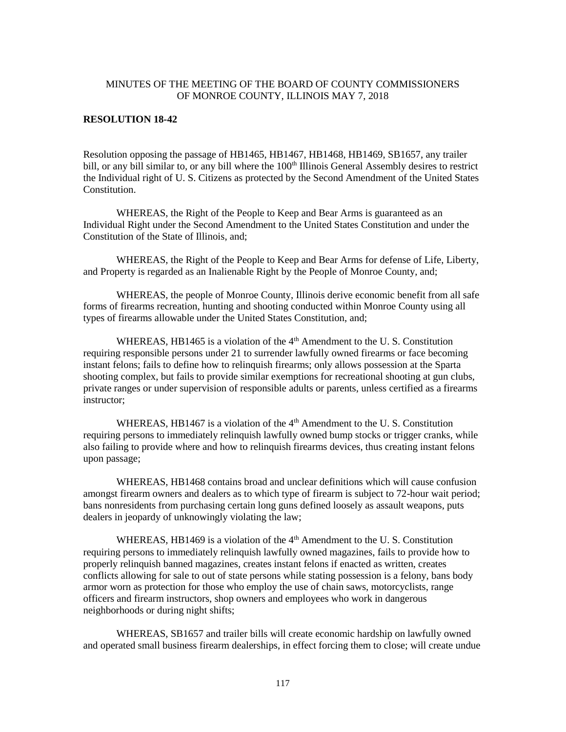## **RESOLUTION 18-42**

Resolution opposing the passage of HB1465, HB1467, HB1468, HB1469, SB1657, any trailer bill, or any bill similar to, or any bill where the 100<sup>th</sup> Illinois General Assembly desires to restrict the Individual right of U. S. Citizens as protected by the Second Amendment of the United States Constitution.

WHEREAS, the Right of the People to Keep and Bear Arms is guaranteed as an Individual Right under the Second Amendment to the United States Constitution and under the Constitution of the State of Illinois, and;

WHEREAS, the Right of the People to Keep and Bear Arms for defense of Life, Liberty, and Property is regarded as an Inalienable Right by the People of Monroe County, and;

WHEREAS, the people of Monroe County, Illinois derive economic benefit from all safe forms of firearms recreation, hunting and shooting conducted within Monroe County using all types of firearms allowable under the United States Constitution, and;

WHEREAS, HB1465 is a violation of the 4<sup>th</sup> Amendment to the U.S. Constitution requiring responsible persons under 21 to surrender lawfully owned firearms or face becoming instant felons; fails to define how to relinquish firearms; only allows possession at the Sparta shooting complex, but fails to provide similar exemptions for recreational shooting at gun clubs, private ranges or under supervision of responsible adults or parents, unless certified as a firearms instructor;

WHEREAS, HB1467 is a violation of the 4<sup>th</sup> Amendment to the U.S. Constitution requiring persons to immediately relinquish lawfully owned bump stocks or trigger cranks, while also failing to provide where and how to relinquish firearms devices, thus creating instant felons upon passage;

WHEREAS, HB1468 contains broad and unclear definitions which will cause confusion amongst firearm owners and dealers as to which type of firearm is subject to 72-hour wait period; bans nonresidents from purchasing certain long guns defined loosely as assault weapons, puts dealers in jeopardy of unknowingly violating the law;

WHEREAS, HB1469 is a violation of the  $4<sup>th</sup>$  Amendment to the U.S. Constitution requiring persons to immediately relinquish lawfully owned magazines, fails to provide how to properly relinquish banned magazines, creates instant felons if enacted as written, creates conflicts allowing for sale to out of state persons while stating possession is a felony, bans body armor worn as protection for those who employ the use of chain saws, motorcyclists, range officers and firearm instructors, shop owners and employees who work in dangerous neighborhoods or during night shifts;

WHEREAS, SB1657 and trailer bills will create economic hardship on lawfully owned and operated small business firearm dealerships, in effect forcing them to close; will create undue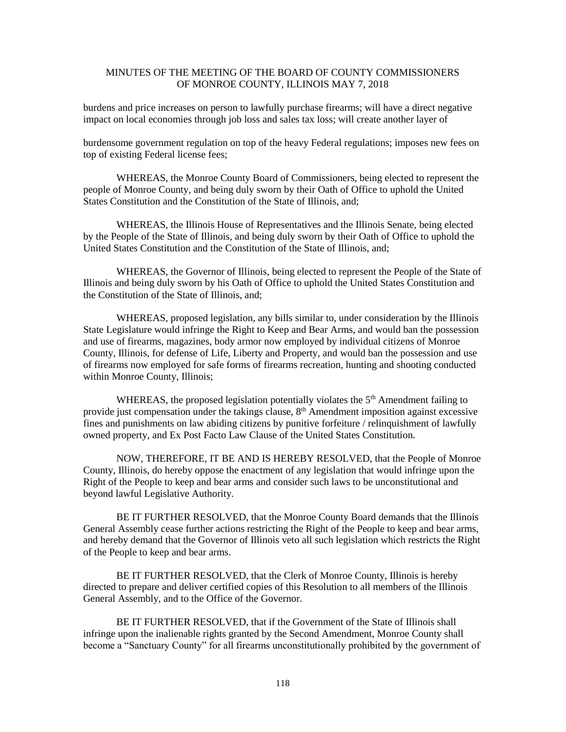burdens and price increases on person to lawfully purchase firearms; will have a direct negative impact on local economies through job loss and sales tax loss; will create another layer of

burdensome government regulation on top of the heavy Federal regulations; imposes new fees on top of existing Federal license fees;

WHEREAS, the Monroe County Board of Commissioners, being elected to represent the people of Monroe County, and being duly sworn by their Oath of Office to uphold the United States Constitution and the Constitution of the State of Illinois, and;

WHEREAS, the Illinois House of Representatives and the Illinois Senate, being elected by the People of the State of Illinois, and being duly sworn by their Oath of Office to uphold the United States Constitution and the Constitution of the State of Illinois, and;

WHEREAS, the Governor of Illinois, being elected to represent the People of the State of Illinois and being duly sworn by his Oath of Office to uphold the United States Constitution and the Constitution of the State of Illinois, and;

WHEREAS, proposed legislation, any bills similar to, under consideration by the Illinois State Legislature would infringe the Right to Keep and Bear Arms, and would ban the possession and use of firearms, magazines, body armor now employed by individual citizens of Monroe County, Illinois, for defense of Life, Liberty and Property, and would ban the possession and use of firearms now employed for safe forms of firearms recreation, hunting and shooting conducted within Monroe County, Illinois;

WHEREAS, the proposed legislation potentially violates the  $5<sup>th</sup>$  Amendment failing to provide just compensation under the takings clause,  $8<sup>th</sup>$  Amendment imposition against excessive fines and punishments on law abiding citizens by punitive forfeiture / relinquishment of lawfully owned property, and Ex Post Facto Law Clause of the United States Constitution.

NOW, THEREFORE, IT BE AND IS HEREBY RESOLVED, that the People of Monroe County, Illinois, do hereby oppose the enactment of any legislation that would infringe upon the Right of the People to keep and bear arms and consider such laws to be unconstitutional and beyond lawful Legislative Authority.

BE IT FURTHER RESOLVED, that the Monroe County Board demands that the Illinois General Assembly cease further actions restricting the Right of the People to keep and bear arms, and hereby demand that the Governor of Illinois veto all such legislation which restricts the Right of the People to keep and bear arms.

BE IT FURTHER RESOLVED, that the Clerk of Monroe County, Illinois is hereby directed to prepare and deliver certified copies of this Resolution to all members of the Illinois General Assembly, and to the Office of the Governor.

BE IT FURTHER RESOLVED, that if the Government of the State of Illinois shall infringe upon the inalienable rights granted by the Second Amendment, Monroe County shall become a "Sanctuary County" for all firearms unconstitutionally prohibited by the government of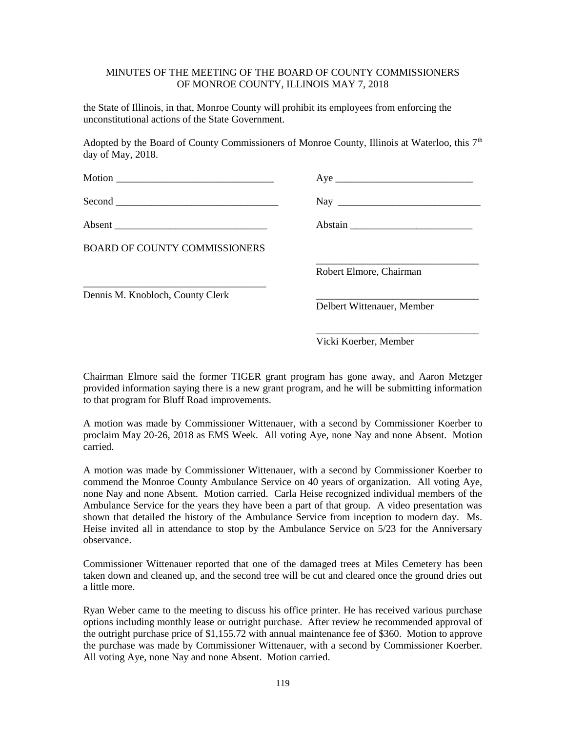the State of Illinois, in that, Monroe County will prohibit its employees from enforcing the unconstitutional actions of the State Government.

Adopted by the Board of County Commissioners of Monroe County, Illinois at Waterloo, this  $7<sup>th</sup>$ day of May, 2018.

| Motion $\overline{\qquad \qquad }$   |                            |
|--------------------------------------|----------------------------|
|                                      | $\text{Nay}$               |
|                                      |                            |
| <b>BOARD OF COUNTY COMMISSIONERS</b> |                            |
|                                      | Robert Elmore, Chairman    |
| Dennis M. Knobloch, County Clerk     |                            |
|                                      | Delbert Wittenauer, Member |

Vicki Koerber, Member

\_\_\_\_\_\_\_\_\_\_\_\_\_\_\_\_\_\_\_\_\_\_\_\_\_\_\_\_\_\_\_\_

Chairman Elmore said the former TIGER grant program has gone away, and Aaron Metzger provided information saying there is a new grant program, and he will be submitting information to that program for Bluff Road improvements.

A motion was made by Commissioner Wittenauer, with a second by Commissioner Koerber to proclaim May 20-26, 2018 as EMS Week. All voting Aye, none Nay and none Absent. Motion carried.

A motion was made by Commissioner Wittenauer, with a second by Commissioner Koerber to commend the Monroe County Ambulance Service on 40 years of organization. All voting Aye, none Nay and none Absent. Motion carried. Carla Heise recognized individual members of the Ambulance Service for the years they have been a part of that group. A video presentation was shown that detailed the history of the Ambulance Service from inception to modern day. Ms. Heise invited all in attendance to stop by the Ambulance Service on 5/23 for the Anniversary observance.

Commissioner Wittenauer reported that one of the damaged trees at Miles Cemetery has been taken down and cleaned up, and the second tree will be cut and cleared once the ground dries out a little more.

Ryan Weber came to the meeting to discuss his office printer. He has received various purchase options including monthly lease or outright purchase. After review he recommended approval of the outright purchase price of \$1,155.72 with annual maintenance fee of \$360. Motion to approve the purchase was made by Commissioner Wittenauer, with a second by Commissioner Koerber. All voting Aye, none Nay and none Absent. Motion carried.